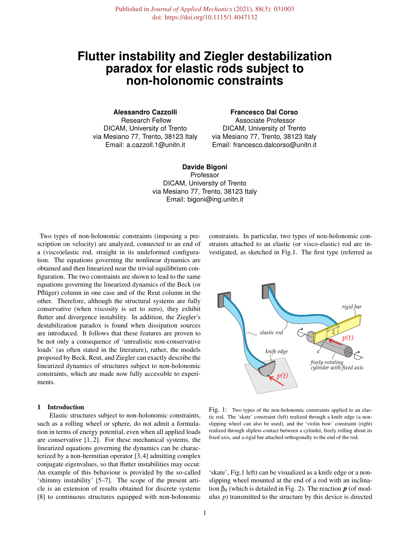# **Flutter instability and Ziegler destabilization paradox for elastic rods subject to non-holonomic constraints**

**Alessandro Cazzolli** Research Fellow DICAM, University of Trento via Mesiano 77, Trento, 38123 Italy Email: a.cazzoll.1@unitn.it

# **Francesco Dal Corso**

Associate Professor DICAM, University of Trento via Mesiano 77, Trento, 38123 Italy Email: francesco.dalcorso@unitn.it

**Davide Bigoni** Professor DICAM, University of Trento via Mesiano 77, Trento, 38123 Italy Email: bigoni@ing.unitn.it

Two types of non-holonomic constraints (imposing a prescription on velocity) are analyzed, connected to an end of a (visco)elastic rod, straight in its undeformed configuration. The equations governing the nonlinear dynamics are obtained and then linearized near the trivial equilibrium configuration. The two constraints are shown to lead to the same equations governing the linearized dynamics of the Beck (or Pflüger) column in one case and of the Reut column in the other. Therefore, although the structural systems are fully conservative (when viscosity is set to zero), they exhibit flutter and divergence instability. In addition, the Ziegler's destabilization paradox is found when dissipation sources are introduced. It follows that these features are proven to be not only a consequence of 'unrealistic non-conservative loads' (as often stated in the literature), rather, the models proposed by Beck, Reut, and Ziegler can exactly describe the linearized dynamics of structures subject to non-holonomic constraints, which are made now fully accessible to experiments.

## 1 Introduction

Elastic structures subject to non-holonomic constraints, such as a rolling wheel or sphere, do not admit a formulation in terms of energy potential, even when all applied loads are conservative [1, 2]. For these mechanical systems, the linearized equations governing the dynamics can be characterized by a non-hermitian operator [3, 4] admitting complex conjugate eigenvalues, so that flutter instabilities may occur. An example of this behaviour is provided by the so-called 'shimmy instability' [5–7]. The scope of the present article is an extension of results obtained for discrete systems [8] to continuous structures equipped with non-holonomic constraints. In particular, two types of non-holonomic constraints attached to an elastic (or visco-elastic) rod are investigated, as sketched in Fig.1. The first type (referred as



Fig. 1: Two types of the non-holonomic constraints applied to an elastic rod. The 'skate' constraint (left) realized through a knife edge (a nonslipping wheel can also be used), and the 'violin bow' constraint (right) realized through slipless contact between a cylinder, freely rolling about its fixed axis, and a rigid bar attached orthogonally to the end of the rod.

'skate', Fig.1 left) can be visualized as a knife edge or a nonslipping wheel mounted at the end of a rod with an inclination  $\beta_0$  (which is detailed in Fig. 2). The reaction  $\boldsymbol{p}$  (of modulus *p*) transmitted to the structure by this device is directed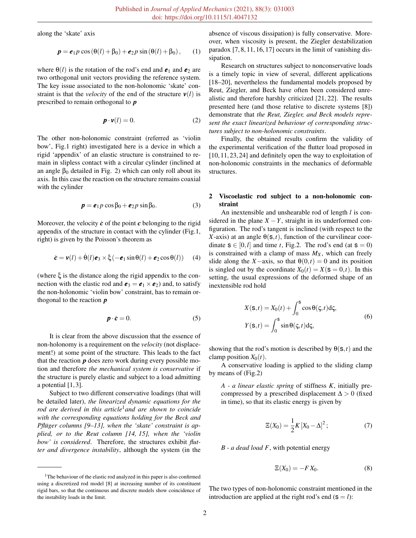along the 'skate' axis

$$
\boldsymbol{p} = \boldsymbol{e}_1 p \cos(\theta(l) + \beta_0) + \boldsymbol{e}_2 p \sin(\theta(l) + \beta_0), \qquad (1)
$$

where  $\theta(l)$  is the rotation of the rod's end and  $e_1$  and  $e_2$  are two orthogonal unit vectors providing the reference system. The key issue associated to the non-holonomic 'skate' constraint is that the *velocity* of the end of the structure  $v(l)$  is prescribed to remain orthogonal to *p*

$$
\mathbf{p} \cdot \mathbf{v}(l) = 0. \tag{2}
$$

The other non-holonomic constraint (referred as 'violin bow', Fig.1 right) investigated here is a device in which a rigid 'appendix' of an elastic structure is constrained to remain in slipless contact with a circular cylinder (inclined at an angle  $\beta_0$  detailed in Fig. 2) which can only roll about its axis. In this case the reaction on the structure remains coaxial with the cylinder

$$
\boldsymbol{p} = \boldsymbol{e}_1 p \cos \beta_0 + \boldsymbol{e}_2 p \sin \beta_0. \tag{3}
$$

Moreover, the velocity  $\dot{c}$  of the point  $\dot{c}$  belonging to the rigid appendix of the structure in contact with the cylinder (Fig.1, right) is given by the Poisson's theorem as

$$
\dot{\boldsymbol{c}} = \boldsymbol{v}(l) + \dot{\boldsymbol{\theta}}(l)\boldsymbol{e}_3 \times \boldsymbol{\xi}(-\boldsymbol{e}_1\sin\theta(l) + \boldsymbol{e}_2\cos\theta(l)) \qquad (4)
$$

(where ξ is the distance along the rigid appendix to the connection with the elastic rod and  $e_3 = e_1 \times e_2$  and, to satisfy the non-holonomic 'violin bow' constraint, has to remain orthogonal to the reaction *p*

$$
\boldsymbol{p} \cdot \dot{\boldsymbol{c}} = 0. \tag{5}
$$

It is clear from the above discussion that the essence of non-holonomy is a requirement on the *velocity* (not displacement!) at some point of the structure. This leads to the fact that the reaction *p* does zero work during every possible motion and therefore *the mechanical system is conservative* if the structure is purely elastic and subject to a load admitting a potential [1, 3].

Subject to two different conservative loadings (that will be detailed later), *the linearized dynamic equations for the rod are derived in this article*1*and are shown to coincide with the corresponding equations holding for the Beck and Pflüger columns [9–13], when the 'skate' constraint is applied, or to the Reut column [14, 15], when the 'violin bow' is considered*. Therefore, the structures exhibit *flutter and divergence instability*, although the system (in the

absence of viscous dissipation) is fully conservative. Moreover, when viscosity is present, the Ziegler destabilization paradox [7, 8, 11, 16, 17] occurs in the limit of vanishing dissipation.

Research on structures subject to nonconservative loads is a timely topic in view of several, different applications [18–20], nevertheless the fundamental models proposed by Reut, Ziegler, and Beck have often been considered unrealistic and therefore harshly criticized [21, 22]. The results presented here (and those relative to discrete systems [8]) demonstrate that *the Reut, Ziegler, and Beck models represent the exact linearized behaviour of corresponding structures subject to non-holonomic constraints*.

Finally, the obtained results confirm the validity of the experimental verification of the flutter load proposed in [10, 11, 23, 24] and definitely open the way to exploitation of non-holonomic constraints in the mechanics of deformable structures.

## 2 Viscoelastic rod subject to a non-holonomic constraint

An inextensible and unshearable rod of length *l* is considered in the plane  $X - Y$ , straight in its underformed configuration. The rod's tangent is inclined (with respect to the *X*-axis) at an angle  $\theta(s,t)$ , function of the curvilinear coordinate  $s \in [0, l]$  and time *t*, Fig.2. The rod's end (at  $s = 0$ ) is constrained with a clamp of mass  $M_X$ , which can freely slide along the *X*−axis, so that  $\theta(0,t) = 0$  and its position is singled out by the coordinate  $X_0(t) = X(\mathbf{s} = 0, t)$ . In this setting, the usual expressions of the deformed shape of an inextensible rod hold

$$
X(\mathbf{s},t) = X_0(t) + \int_0^{\mathbf{s}} \cos \theta(\zeta, t) d\zeta,
$$
  
\n
$$
Y(\mathbf{s},t) = \int_0^{\mathbf{s}} \sin \theta(\zeta, t) d\zeta,
$$
\n(6)

showing that the rod's motion is described by  $\theta(s,t)$  and the clamp position  $X_0(t)$ .

A conservative loading is applied to the sliding clamp by means of (Fig.2)

*A - a linear elastic spring* of stiffness *K*, initially precompressed by a prescribed displacement  $\Delta > 0$  (fixed in time), so that its elastic energy is given by

$$
\Xi(X_0) = \frac{1}{2}K[X_0 - \Delta]^2; \tag{7}
$$

*B - a dead load F*, with potential energy

$$
\Xi(X_0) = -FX_0. \tag{8}
$$

The two types of non-holonomic constraint mentioned in the introduction are applied at the right rod's end  $(s = l)$ :

<sup>&</sup>lt;sup>1</sup>The behaviour of the elastic rod analyzed in this paper is also confirmed using a discretized rod model [8] at increasing number of its constituent rigid bars, so that the continuous and discrete models show coincidence of the instability loads in the limit.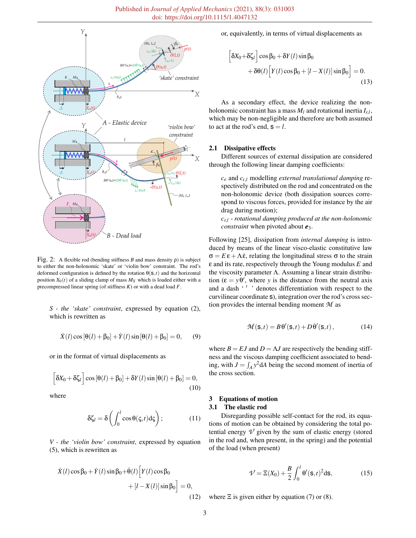

Fig. 2: A flexible rod (bending stiffness *B* and mass density ρ) is subject to either the non-holonomic 'skate' or 'violin bow' constraint. The rod's deformed configuration is defined by the rotation  $\theta(s,t)$  and the horizontal position  $X_0(t)$  of a sliding clamp of mass  $M_X$  which is loaded either with a precompressed linear spring (of stiffness *K*) or with a dead load *F*.

*S - the 'skate' constraint*, expressed by equation (2), which is rewritten as

$$
\dot{X}(l)\cos[\theta(l) + \beta_0] + \dot{Y}(l)\sin[\theta(l) + \beta_0] = 0,
$$
 (9)

or in the format of virtual displacements as

$$
\[ \delta X_0 + \delta \zeta_I \] \cos [\theta (l) + \beta_0] + \delta Y(l) \sin [\theta (l) + \beta_0] = 0, \tag{10}
$$

where

$$
\delta \zeta_l = \delta \left( \int_0^l \cos \theta(\zeta, t) d\zeta \right); \tag{11}
$$

*V - the 'violin bow' constraint*, expressed by equation (5), which is rewritten as

$$
\dot{X}(l)\cos\beta_0 + \dot{Y}(l)\sin\beta_0 + \dot{\theta}(l)\Big[Y(l)\cos\beta_0 + [l - X(l)]\sin\beta_0\Big] = 0,
$$
\n(12)

or, equivalently, in terms of virtual displacements as

$$
\[ \delta X_0 + \delta \zeta_l \] \cos \beta_0 + \delta Y(l) \sin \beta_0 + \delta \theta(l) \Big[ Y(l) \cos \beta_0 + [l - X(l)] \sin \beta_0 \Big] = 0.
$$
\n(13)

As a secondary effect, the device realizing the nonholonomic constraint has a mass  $M_l$  and rotational inertia  $I_{r,l}$ , which may be non-negligible and therefore are both assumed to act at the rod's end,  $s = l$ .

#### 2.1 Dissipative effects

Different sources of external dissipation are considered through the following linear damping coefficients:

*c<sup>e</sup>* and *ct*,*<sup>l</sup>* modelling *external translational damping* respectively distributed on the rod and concentrated on the non-holonomic device (both dissipation sources correspond to viscous forces, provided for instance by the air drag during motion);

*cr*,*<sup>l</sup>* - *rotational damping produced at the non-holonomic constraint* when pivoted about  $e_3$ .

Following [25], dissipation from *internal damping* is introduced by means of the linear visco-elastic constitutive law  $\sigma = E \varepsilon + \Lambda \dot{\varepsilon}$ , relating the longitudinal stress  $\sigma$  to the strain ε and its rate, respectively through the Young modulus *E* and the viscosity parameter  $\Lambda$ . Assuming a linear strain distribution  $(\varepsilon = y \theta')$ , where *y* is the distance from the neutral axis and a dash '' ' denotes differentiation with respect to the curvilinear coordinate s), integration over the rod's cross section provides the internal bending moment *M* as

$$
\mathcal{M}(\mathbf{s},t) = B\,\theta'(\mathbf{s},t) + D\,\dot{\theta}'(\mathbf{s},t)\,,\tag{14}
$$

where  $B = EJ$  and  $D = \Lambda J$  are respectively the bending stiffness and the viscous damping coefficient associated to bending, with  $J = \int_A y^2 dA$  being the second moment of inertia of the cross section.

## 3 Equations of motion

#### 3.1 The elastic rod

Disregarding possible self-contact for the rod, its equations of motion can be obtained by considering the total potential energy  $\mathcal V$  given by the sum of elastic energy (stored in the rod and, when present, in the spring) and the potential of the load (when present)

$$
\mathcal{V} = \Xi(X_0) + \frac{B}{2} \int_0^l \theta'(\mathbf{s}, t)^2 \mathrm{d}\mathbf{s},\tag{15}
$$

where  $\Xi$  is given either by equation (7) or (8).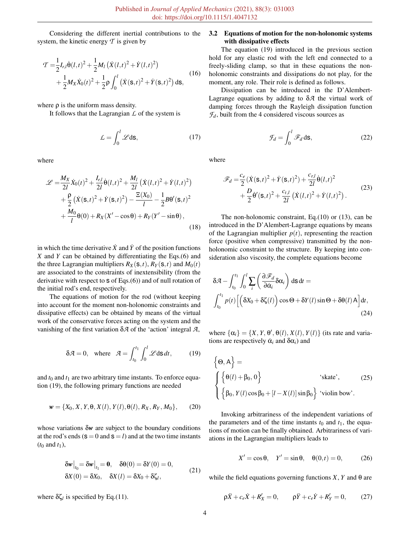Considering the different inertial contributions to the system, the kinetic energy  $T$  is given by

$$
\mathcal{T} = \frac{1}{2} I_{r,l} \dot{\Theta}(l,t)^2 + \frac{1}{2} M_l \left( \dot{X}(l,t)^2 + \dot{Y}(l,t)^2 \right) \n+ \frac{1}{2} M_X \dot{X}_0(t)^2 + \frac{1}{2} \rho \int_0^l \left( \dot{X}(\mathbf{s},t)^2 + \dot{Y}(\mathbf{s},t)^2 \right) d\mathbf{s},
$$
\n(16)

where  $\rho$  is the uniform mass density.

It follows that the Lagrangian  $\mathcal L$  of the system is

$$
\mathcal{L} = \int_0^l \mathcal{L} \, \mathrm{d}s,\tag{17}
$$

where

$$
\mathcal{L} = \frac{M_X}{2l} \dot{X}_0(t)^2 + \frac{I_{r,l}}{2l} \dot{\theta}(l,t)^2 + \frac{M_l}{2l} \left( \dot{X}(l,t)^2 + \dot{Y}(l,t)^2 \right) \n+ \frac{\rho}{2} \left( \dot{X}(\mathbf{s},t)^2 + \dot{Y}(\mathbf{s},t)^2 \right) - \frac{\Xi(X_0)}{l} - \frac{1}{2} B \theta'(\mathbf{s},t)^2 \n+ \frac{M_0}{l} \theta(0) + R_X(X' - \cos \theta) + R_Y(Y' - \sin \theta),
$$
\n(18)

in which the time derivative  $\dot{X}$  and  $\dot{Y}$  of the position functions *X* and *Y* can be obtained by differentiating the Eqs.(6) and the three Lagrangian multipliers  $R_X(s,t)$ ,  $R_Y(s,t)$  and  $M_0(t)$ are associated to the constraints of inextensibility (from the derivative with respect to  $s$  of Eqs.(6)) and of null rotation of the initial rod's end, respectively.

The equations of motion for the rod (without keeping into account for the moment non-holonomic constraints and dissipative effects) can be obtained by means of the virtual work of the conservative forces acting on the system and the vanishing of the first variation δ*A* of the 'action' integral *A*,

$$
\delta \mathcal{A} = 0, \quad \text{where} \quad \mathcal{A} = \int_{t_0}^{t_1} \int_0^l \mathcal{L} \, \text{d} s \, dt, \tag{19}
$$

and  $t_0$  and  $t_1$  are two arbitrary time instants. To enforce equation (19), the following primary functions are needed

$$
\mathbf{w} = \{X_0, X, Y, \theta, X(l), Y(l), \theta(l), R_X, R_Y, M_0\},\qquad(20)
$$

whose variations δ*w* are subject to the boundary conditions at the rod's ends  $(s = 0 \text{ and } s = l)$  and at the two time instants  $(t_0 \text{ and } t_1),$ 

$$
\delta w\big|_{t_0} = \delta w\big|_{t_1} = 0, \quad \delta\Theta(0) = \delta Y(0) = 0,
$$
  
\n
$$
\delta X(0) = \delta X_0, \quad \delta X(l) = \delta X_0 + \delta \zeta_l,
$$
\n(21)

where  $\delta \zeta_l$  is specified by Eq.(11).

# 3.2 Equations of motion for the non-holonomic systems with dissipative effects

The equation (19) introduced in the previous section hold for any elastic rod with the left end connected to a freely-sliding clamp, so that in these equations the nonholonomic constraints and dissipations do not play, for the moment, any role. Their role is defined as follows.

Dissipation can be introduced in the D'Alembert-Lagrange equations by adding to δ*A* the virtual work of damping forces through the Rayleigh dissipation function  $\mathcal{F}_d$ , built from the 4 considered viscous sources as

$$
\mathcal{F}_d = \int_0^l \mathcal{F}_d \, \mathrm{d}\mathbf{s},\tag{22}
$$

where

$$
\mathcal{F}_d = \frac{c_e}{2} (\dot{X}(\mathbf{s}, t)^2 + \dot{Y}(\mathbf{s}, t)^2) + \frac{c_{r,l}}{2l} \dot{\theta}(l, t)^2 + \frac{D}{2} \dot{\theta}'(\mathbf{s}, t)^2 + \frac{c_{t,l}}{2l} (\dot{X}(l, t)^2 + \dot{Y}(l, t)^2).
$$
(23)

The non-holonomic constraint, Eq.(10) or (13), can be introduced in the D'Alembert-Lagrange equations by means of the Lagrangian multiplier  $p(t)$ , representing the reaction force (positive when compressive) transmitted by the nonholonomic constraint to the structure. By keeping into consideration also viscosity, the complete equations become

$$
\delta \mathcal{A} - \int_{t_0}^{t_1} \int_0^l \sum_i \left( \frac{\partial \mathcal{F}_d}{\partial \dot{\alpha}_i} \delta \alpha_i \right) d\mathbf{s} dt =
$$
  

$$
\int_{t_0}^{t_1} p(t) \left[ \left( \delta X_0 + \delta \zeta(t) \right) \cos \Theta + \delta Y(t) \sin \Theta + \delta \Theta(t) A \right] dt,
$$
(24)

where  $\{\alpha_i\} = \{X, Y, \theta', \theta(l), X(l), Y(l)\}$  (its rate and variations are respectively  $\dot{\alpha}_i$  and  $\delta \alpha_i$ ) and

$$
\begin{cases} \Theta, A \end{cases} = \begin{cases} \left\{ \Theta(l) + \beta_0, 0 \right\} & \text{'skate'}, \quad (25) \\ \left\{ \beta_0, Y(l) \cos \beta_0 + [l - X(l)] \sin \beta_0 \right\} & \text{violin bow'}. \end{cases}
$$

Invoking arbitrariness of the independent variations of the parameters and of the time instants  $t_0$  and  $t_1$ , the equations of motion can be finally obtained. Arbitrariness of variations in the Lagrangian multipliers leads to

$$
X' = \cos \theta, \quad Y' = \sin \theta, \quad \theta(0, t) = 0,\tag{26}
$$

while the field equations governing functions  $X, Y$  and  $\theta$  are

$$
\rho \ddot{X} + c_e \dot{X} + R'_X = 0, \qquad \rho \ddot{Y} + c_e \dot{Y} + R'_Y = 0, \qquad (27)
$$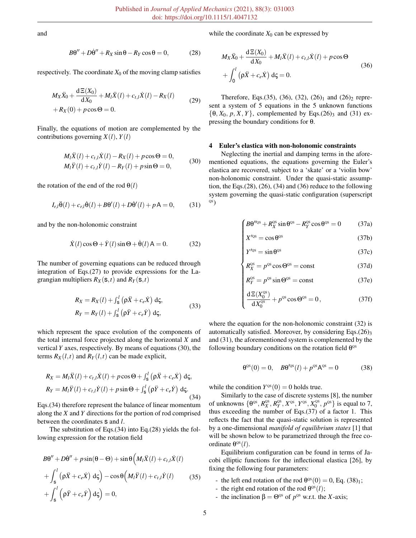and

$$
B\theta'' + D\dot{\theta}'' + R_X \sin \theta - R_Y \cos \theta = 0, \qquad (28)
$$

respectively. The coordinate  $X_0$  of the moving clamp satisfies

$$
M_X\ddot{X}_0 + \frac{d\Xi(X_0)}{dX_0} + M_l\ddot{X}(l) + c_{t,l}\dot{X}(l) - R_X(l) + R_X(0) + p\cos\Theta = 0.
$$
 (29)

Finally, the equations of motion are complemented by the contributions governing  $X(l)$ ,  $Y(l)$ 

$$
M_l \ddot{X}(l) + c_{t,l} \dot{X}(l) - R_X(l) + p \cos \Theta = 0,
$$
  
\n
$$
M_l \ddot{Y}(l) + c_{t,l} \dot{Y}(l) - R_Y(l) + p \sin \Theta = 0,
$$
\n(30)

the rotation of the end of the rod  $\theta(l)$ 

$$
I_{r,l}\ddot{\theta}(l) + c_{r,l}\dot{\theta}(l) + B\theta'(l) + D\dot{\theta}'(l) + pA = 0,
$$
 (31)

and by the non-holonomic constraint

$$
\dot{X}(l)\cos\Theta + \dot{Y}(l)\sin\Theta + \dot{\Theta}(l) A = 0.
$$
 (32)

The number of governing equations can be reduced through integration of Eqs.(27) to provide expressions for the Lagrangian multipliers  $R_X(s,t)$  and  $R_Y(s,t)$ 

$$
R_X = R_X(l) + \int_{\mathsf{S}}^l (\rho \ddot{X} + c_e \dot{X}) \, \mathrm{d}\zeta,
$$
  
\n
$$
R_Y = R_Y(l) + \int_{\mathsf{S}}^l (\rho \ddot{Y} + c_e \dot{Y}) \, \mathrm{d}\zeta,
$$
\n(33)

which represent the space evolution of the components of the total internal force projected along the horizontal *X* and vertical *Y* axes, respectively. By means of equations (30), the terms  $R_X(l,t)$  and  $R_Y(l,t)$  can be made explicit,

$$
R_X = M_l \ddot{X}(l) + c_{t,l} \dot{X}(l) + p \cos \Theta + \int_{\mathsf{s}}^l (\rho \ddot{X} + c_e \dot{X}) \, \mathrm{d}\zeta,
$$
  

$$
R_Y = M_l \ddot{Y}(l) + c_{t,l} \dot{Y}(l) + p \sin \Theta + \int_{\mathsf{s}}^l (\rho \ddot{Y} + c_e \dot{Y}) \, \mathrm{d}\zeta.
$$
 (34)

Eqs.(34) therefore represent the balance of linear momentum along the *X* and *Y* directions for the portion of rod comprised between the coordinates s and *l*.

The substitution of Eqs.(34) into Eq.(28) yields the following expression for the rotation field

$$
B\Theta'' + D\dot{\Theta}'' + p\sin(\theta - \Theta) + \sin\theta \Big(M_l \ddot{X}(l) + c_{t,l} \dot{X}(l) + \int_s^l (\rho \ddot{X} + c_e \dot{X}) d\zeta \Big) - \cos\theta \Big(M_l \ddot{Y}(l) + c_{t,l} \dot{Y}(l) \qquad (35) + \int_s^l (\rho \ddot{Y} + c_e \dot{Y}) d\zeta \Big) = 0,
$$

while the coordinate  $X_0$  can be expressed by

$$
M_X \ddot{X}_0 + \frac{d \Xi(X_0)}{d X_0} + M_l \ddot{X}(l) + c_{t,l} \dot{X}(l) + p \cos \Theta
$$
  
+ 
$$
\int_0^l (\rho \ddot{X} + c_e \dot{X}) d\zeta = 0.
$$
 (36)

Therefore, Eqs.(35), (36), (32), (26)<sub>1</sub> and (26)<sub>2</sub> represent a system of 5 equations in the 5 unknown functions  $\{\theta, X_0, p, X, Y\}$ , complemented by Eqs.(26)<sub>3</sub> and (31) expressing the boundary conditions for θ.

#### 4 Euler's elastica with non-holonomic constraints

Neglecting the inertial and damping terms in the aforementioned equations, the equations governing the Euler's elastica are recovered, subject to a 'skate' or a 'violin bow' non-holonomic constraint. Under the quasi-static assumption, the Eqs. $(28)$ ,  $(26)$ ,  $(34)$  and  $(36)$  reduce to the following system governing the quasi-static configuration (superscript QS)

$$
\int B\theta''^{0s} + R_X^{0s} \sin \theta^{0s} - R_Y^{0s} \cos \theta^{0s} = 0 \tag{37a}
$$

$$
X'^{\text{QS}} = \cos \theta^{\text{QS}} \tag{37b}
$$

$$
Y'^{\text{QS}} = \sin \theta^{\text{QS}} \tag{37c}
$$

$$
X'^{0s} = \cos \theta^{0s}
$$
 (37b)  
\n
$$
Y'^{0s} = \sin \theta^{0s}
$$
 (37c)  
\n
$$
R_X^{0s} = p^{0s} \cos \Theta^{0s} = \text{const}
$$
 (37d)

$$
R_Y^{0s} = p^{0s} \sin \Theta^{0s} = \text{const}
$$
 (37e)  

$$
\frac{d\Xi(X_0^{0s})}{dX_0^{0s}} + p^{0s} \cos \Theta^{0s} = 0,
$$
 (37f)

$$
\frac{d\Xi(X_0^{\text{OS}})}{dX_0^{\text{OS}}} + p^{\text{OS}}\cos\Theta^{\text{OS}} = 0, \qquad (37f)
$$

where the equation for the non-holonomic constraint (32) is automatically satisfied. Moreover, by considering Eqs.(26)<sub>3</sub> and (31), the aforementioned system is complemented by the following boundary conditions on the rotation field  $\theta^{\text{QS}}$ 

$$
\theta^{\text{QS}}(0) = 0, \quad B\theta^{\text{OS}}(l) + p^{\text{QS}}A^{\text{QS}} = 0 \tag{38}
$$

while the condition  $Y^{\text{QS}}(0) = 0$  holds true.

Similarly to the case of discrete systems [8], the number of unknowns  $\{\theta^{os}, R_X^{os}, R_Y^{os}, X^{os}, Y^{os}, X_0^{os}, p^{os}\}$  is equal to 7, thus exceeding the number of Eqs.(37) of a factor 1. This reflects the fact that the quasi-static solution is represented by a one-dimensional *manifold of equilibrium states* [1] that will be shown below to be parametrized through the free coordinate  $\theta^{\text{QS}}(l)$ .

Equilibrium configuration can be found in terms of Jacobi elliptic functions for the inflectional elastica [26], by fixing the following four parameters:

- the left end rotation of the rod  $\theta^{\text{QS}}(0) = 0$ , Eq. (38)<sub>1</sub>;
- the right end rotation of the rod  $\theta^{\text{QS}}(l)$ ;
- the inclination  $β = Θ<sup>o</sup>$  of  $p<sup>o</sup>$  w.r.t. the *X*-axis;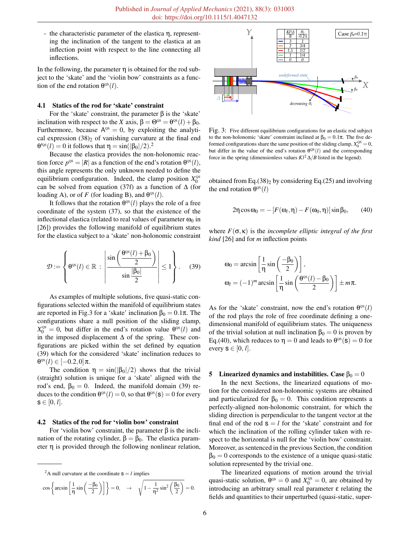- the characteristic parameter of the elastica η, representing the inclination of the tangent to the elastica at an inflection point with respect to the line connecting all inflections.

In the following, the parameter  $\eta$  is obtained for the rod subject to the 'skate' and the 'violin bow' constraints as a function of the end rotation  $\theta^{\text{qs}}(l)$ .

#### 4.1 Statics of the rod for 'skate' constraint

For the 'skate' constraint, the parameter  $\beta$  is the 'skate' inclination with respect to the *X* axis,  $\beta = \Theta^{\text{QS}} = \theta^{\text{QS}}(l) + \beta_0$ . Furthermore, because  $A^{\text{QS}} = 0$ , by exploiting the analytical expression  $(38)$ <sub>2</sub> of vanishing curvature at the final end θ<sup> $\theta$ os</sup>(*l*) = 0 it follows that  $η = sin(|β<sub>0</sub>|/2).$ <sup>2</sup>

Because the elastica provides the non-holonomic reaction force  $p^{\text{QS}} = |R|$  as a function of the end's rotation  $\theta^{\text{QS}}(l)$ , this angle represents the only unknown needed to define the equilibrium configuration. Indeed, the clamp position  $X_0^{\text{os}}$ can be solved from equation (37f) as a function of  $\Delta$  (for loading A), or of *F* (for loading B), and  $\theta^{\text{QS}}(l)$ .

It follows that the rotation  $\theta^{\text{QS}}(l)$  plays the role of a free coordinate of the system (37), so that the existence of the inflectional elastica (related to real values of parameter  $\omega_0$  in [26]) provides the following manifold of equilibrium states for the elastica subject to a 'skate' non-holonomic constraint

$$
\mathcal{D} := \left\{ \theta^{\text{OS}}(l) \in \mathbb{R} \, : \, \left| \frac{\sin \left( \frac{\theta^{\text{OS}}(l) + \beta_0}{2} \right)}{\sin \frac{|\beta_0|}{2}} \right| \le 1 \right\}. \tag{39}
$$

As examples of multiple solutions, five quasi-static configurations selected within the manifold of equilibrium states are reported in Fig.3 for a 'skate' inclination  $β_0 = 0.1π$ . The configurations share a null position of the sliding clamp,  $X_0^{\text{QS}} = 0$ , but differ in the end's rotation value  $\theta^{\text{QS}}(l)$  and in the imposed displacement ∆ of the spring. These configurations are picked within the set defined by equation (39) which for the considered 'skate' inclination reduces to  $\theta$ <sup>os</sup>(*l*) ∈ [−0.2,0]π.

The condition  $\eta = \sin(|\beta_0|/2)$  shows that the trivial (straight) solution is unique for a 'skate' aligned with the rod's end,  $\beta_0 = 0$ . Indeed, the manifold domain (39) reduces to the condition  $\theta^{\rm OS}(l) = 0$ , so that  $\theta^{\rm OS}(\mathbf{s}) = 0$  for every  $s \in [0, l].$ 

#### 4.2 Statics of the rod for 'violin bow' constraint

For 'violin bow' constraint, the parameter β is the inclination of the rotating cylinder,  $β = β<sub>0</sub>$ . The elastica parameter η is provided through the following nonlinear relation,

$$
\cos\left\{\arcsin\left[\frac{1}{\eta}\sin\left(\frac{-\beta_0}{2}\right)\right]\right\}=0,\quad\rightarrow\quad\sqrt{1-\frac{1}{\eta^2}\sin^2\left(\frac{\beta_0}{2}\right)}=0.
$$



Fig. 3: Five different equilibrium configurations for an elastic rod subject to the non-holonomic 'skate' constraint inclined at  $β_0 = 0.1π$ . The five deformed configurations share the same position of the sliding clamp,  $X_0^{QS} = 0$ , but differ in the value of the end's rotation  $\theta^{QS}(l)$  and the corresponding force in the spring (dimensionless values  $Kl^2 \Delta/B$  listed in the legend).

obtained from Eq.(38)<sub>2</sub> by considering Eq.(25) and involving the end rotation  $\theta^{\text{QS}}(l)$ 

$$
2\eta\cos\omega_0 = -\left[F(\omega_l, \eta) - F(\omega_0, \eta)\right]\sin\beta_0, \qquad (40)
$$

where  $F(\sigma, \kappa)$  is the *incomplete elliptic integral of the first kind* [26] and for *m* inflection points

$$
\omega_0 = \arcsin\left[\frac{1}{\eta}\sin\left(\frac{-\beta_0}{2}\right)\right],
$$
  

$$
\omega_l = (-1)^m \arcsin\left[\frac{1}{\eta}\sin\left(\frac{\theta^{\text{os}}(l) - \beta_0}{2}\right)\right] \pm m\pi.
$$

As for the 'skate' constraint, now the end's rotation  $\theta^{\text{QS}}(l)$ of the rod plays the role of free coordinate defining a onedimensional manifold of equilibrium states. The uniqueness of the trivial solution at null inclination  $\beta_0 = 0$  is proven by Eq.(40), which reduces to  $\eta = 0$  and leads to  $\theta^{\text{QS}}(\mathbf{s}) = 0$  for every  $s \in [0, l]$ .

#### 5 Linearized dynamics and instabilities. Case  $β<sub>0</sub> = 0$

In the next Sections, the linearized equations of motion for the considered non-holonomic systems are obtained and particularized for  $\beta_0 = 0$ . This condition represents a perfectly-aligned non-holonomic constraint, for which the sliding direction is perpendicular to the tangent vector at the final end of the rod  $s = l$  for the 'skate' constraint and for which the inclination of the rolling cylinder taken with respect to the horizontal is null for the 'violin bow' constraint. Moreover, as sentenced in the previous Section, the condition  $\beta_0 = 0$  corresponds to the existence of a unique quasi-static solution represented by the trivial one.

The linearized equations of motion around the trivial quasi-static solution,  $\theta^{\text{QS}} = 0$  and  $X_0^{\text{QS}} = 0$ , are obtained by introducing an arbitrary small real parameter ε relating the fields and quantities to their unperturbed (quasi-static, super-

<sup>&</sup>lt;sup>2</sup>A null curvature at the coordinate  $s = l$  implies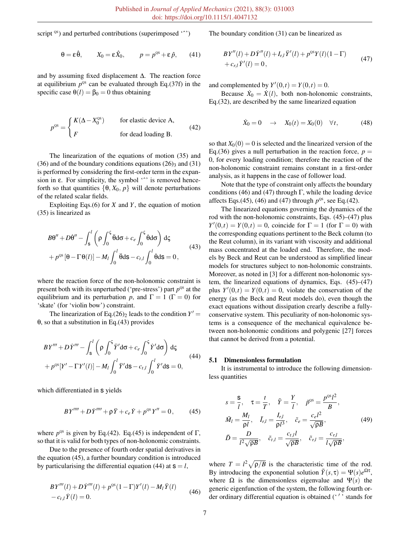script <sup>QS</sup>) and perturbed contributions (superimposed '<sup>^</sup>')

 $\theta = \varepsilon \hat{\theta},$   $X_0 = \varepsilon \hat{X}_0,$   $p = p^{\text{os}} + \varepsilon \hat{p},$  (41)

and by assuming fixed displacement ∆. The reaction force at equilibrium  $p^{\text{os}}$  can be evaluated through Eq.(37f) in the specific case  $\theta(l) = \beta_0 = 0$  thus obtaining

$$
p^{\text{os}} = \begin{cases} K(\Delta - X_0^{\text{os}}) & \text{for elastic device A,} \\ F & \text{for dead loading B.} \end{cases}
$$
 (42)

The linearization of the equations of motion (35) and (36) and of the boundary conditions equations  $(26)$ <sub>3</sub> and  $(31)$ is performed by considering the first-order term in the expansion in  $\varepsilon$ . For simplicity, the symbol ' $\hat{ }$  is removed henceforth so that quantities  $\{\theta, X_0, p\}$  will denote perturbations of the related scalar fields.

Exploiting Eqs.(6) for *X* and *Y*, the equation of motion (35) is linearized as

$$
B\theta'' + D\dot{\theta}'' - \int_{s}^{l} \left( \rho \int_{0}^{s} \ddot{\theta} d\sigma + c_e \int_{0}^{s} \dot{\theta} d\sigma \right) d\zeta
$$
  
+  $p^{\text{OS}} [\theta - \Gamma \theta(l)] - M_l \int_{0}^{l} \ddot{\theta} d\mathbf{s} - c_{t,l} \int_{0}^{l} \dot{\theta} d\mathbf{s} = 0,$  (43)

where the reaction force of the non-holonomic constraint is present both with its unperturbed ('pre-stress') part  $p^{\text{QS}}$  at the equilibrium and its perturbation *p*, and  $\Gamma = 1$  ( $\Gamma = 0$ ) for 'skate' (for 'violin bow') constraint.

The linearization of Eq.(26)<sub>2</sub> leads to the condition  $Y' =$ θ, so that a substitution in Eq.(43) provides

$$
BY''' + D\dot{Y}''' - \int_{\mathbf{s}}^{l} \left( \rho \int_{0}^{\mathbf{s}} \ddot{Y}' d\sigma + c_e \int_{0}^{\mathbf{s}} \dot{Y}' d\sigma \right) d\zeta
$$
  
+  $p^{\infty} [Y' - \Gamma Y'(l)] - M_l \int_{0}^{l} \ddot{Y}' d\mathbf{s} - c_{l,l} \int_{0}^{l} \dot{Y}' d\mathbf{s} = 0,$  (44)

which differentiated in  $s$  yields

$$
BY'''' + D\dot{Y}''' + \rho \ddot{Y} + c_e \dot{Y} + p^{\circ s} Y'' = 0, \qquad (45)
$$

where  $p^{\text{QS}}$  is given by Eq.(42). Eq.(45) is independent of  $\Gamma$ , so that it is valid for both types of non-holonomic constraints.

Due to the presence of fourth order spatial derivatives in the equation (45), a further boundary condition is introduced by particularising the differential equation (44) at  $s = l$ ,

$$
BY'''(l) + D\dot{Y}'''(l) + p^{os}(1-\Gamma)Y'(l) - M_l\ddot{Y}(l)
$$
  
-  $c_{t,l}\dot{Y}(l) = 0.$  (46)

The boundary condition (31) can be linearized as

$$
BY''(l) + D\dot{Y}''(l) + I_{r,l}\ddot{Y}'(l) + p^{0S}Y(l)(1 - \Gamma) + c_{r,l}\dot{Y}'(l) = 0,
$$
\n(47)

and complemented by  $Y'(0,t) = Y(0,t) = 0$ .

Because  $\dot{X}_0 = \dot{X}(l)$ , both non-holonomic constraints, Eq.(32), are described by the same linearized equation

$$
\dot{X}_0 = 0 \quad \rightarrow \quad X_0(t) = X_0(0) \quad \forall t, \tag{48}
$$

so that  $X_0(0) = 0$  is selected and the linearized version of the Eq.(36) gives a null perturbation in the reaction force,  $p =$ 0, for every loading condition; therefore the reaction of the non-holonomic constraint remains constant in a first-order analysis, as it happens in the case of follower load.

Note that the type of constraint only affects the boundary conditions (46) and (47) through Γ, while the loading device affects Eqs.(45), (46) and (47) through  $p^{\text{QS}}$ , see Eq.(42).

The linearized equations governing the dynamics of the rod with the non-holonomic constraints, Eqs. (45)–(47) plus  $Y'(0,t) = Y(0,t) = 0$ , coincide for  $\Gamma = 1$  (for  $\Gamma = 0$ ) with the corresponding equations pertinent to the Beck column (to the Reut column), in its variant with viscosity and additional mass concentrated at the loaded end. Therefore, the models by Beck and Reut can be understood as simplified linear models for structures subject to non-holonomic constraints. Moreover, as noted in [3] for a different non-holonomic system, the linearized equations of dynamics, Eqs. (45)–(47) plus  $Y'(0,t) = Y(0,t) = 0$ , violate the conservation of the energy (as the Beck and Reut models do), even though the exact equations without dissipation crearly describe a fullyconservative system. This peculiarity of non-holonomic systems is a consequence of the mechanical equivalence between non-holonomic conditions and polygenic [27] forces that cannot be derived from a potential.

#### 5.1 Dimensionless formulation

It is instrumental to introduce the following dimensionless quantities

$$
s = \frac{8}{l}, \quad \tau = \frac{t}{T}, \quad \tilde{Y} = \frac{Y}{l}, \quad \tilde{p}^{\circ s} = \frac{p^{\circ s} l^2}{B},
$$
  

$$
\tilde{M}_l = \frac{M_l}{\rho l}, \quad \tilde{I}_{r,l} = \frac{I_{r,l}}{\rho l^3}, \quad \tilde{c}_e = \frac{c_e l^2}{\sqrt{\rho B}},
$$
  

$$
\tilde{D} = \frac{D}{l^2 \sqrt{\rho B}}, \quad \tilde{c}_{t,l} = \frac{c_{t,l} l}{\sqrt{\rho B}}, \quad \tilde{c}_{r,l} = \frac{c_{r,l}}{l \sqrt{\rho B}},
$$
 (49)

where  $T = l^2 \sqrt{\rho/B}$  is the characteristic time of the rod. By introducing the exponential solution  $\tilde{Y}(s,\tau) = \Psi(s)e^{\Omega \tau}$ , where  $\Omega$  is the dimensionless eigenvalue and  $\Psi(s)$  the generic eigenfunction of the system, the following fourth order ordinary differential equation is obtained ('' ' stands for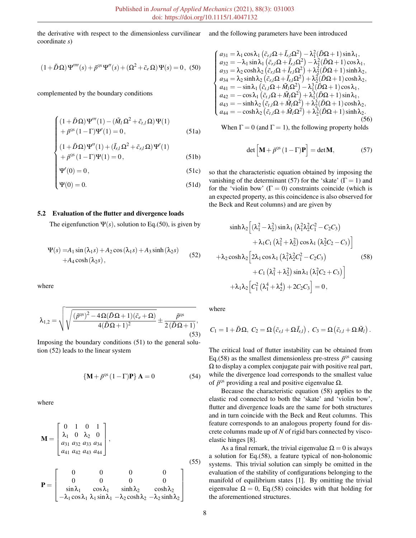the derivative with respect to the dimensionless curvilinear coordinate *s*)

$$
(1+\tilde{D}\Omega)\Psi''''(s) + \tilde{p}^{\text{OS}}\Psi''(s) + (\Omega^2 + \tilde{c}_e\Omega)\Psi(s) = 0, (50)
$$

complemented by the boundary conditions

$$
\begin{cases}\n(1+\tilde{D}\Omega)\Psi'''(1) - (\tilde{M}_l\Omega^2 + \tilde{c}_{t,l}\Omega)\Psi(1) \\
+\tilde{p}^{\text{QS}}(1-\Gamma)\Psi'(1) = 0, \\
(1+\tilde{D}\Omega)\Psi''(1) + (\tilde{I}_{r,l}\Omega^2 + \tilde{c}_{r,l}\Omega)\Psi'(1)\n\end{cases}
$$
\n(51a)

$$
(1+\tilde{D}\Omega)\Psi''(1) + (\tilde{I}_{r,l}\Omega^2 + \tilde{c}_{r,l}\Omega)\Psi'(1) + \tilde{p}^{\text{OS}}(1-\Gamma)\Psi(1) = 0,
$$
\n(51b)

$$
\Psi'(0) = 0,
$$
\n(51c)  
\n
$$
\Psi(0) = 0.
$$
\n(51d)

$$
\Psi(0) = 0.\t\t(51d)
$$

#### 5.2 Evaluation of the flutter and divergence loads

The eigenfunction  $\Psi(s)$ , solution to Eq.(50), is given by

$$
\Psi(s) = A_1 \sin(\lambda_1 s) + A_2 \cos(\lambda_1 s) + A_3 \sinh(\lambda_2 s) + A_4 \cosh(\lambda_2 s),
$$
\n(52)

where

$$
\lambda_{1,2} = \sqrt{\sqrt{\frac{(\tilde{p}^{OS})^2 - 4\Omega(\tilde{D}\Omega + 1)(\tilde{c}_e + \Omega)}{4(\tilde{D}\Omega + 1)^2}} \pm \frac{\tilde{p}^{OS}}{2(\tilde{D}\Omega + 1)}},
$$
\n(53)

Imposing the boundary conditions (51) to the general solution (52) leads to the linear system

$$
\left\{ \mathbf{M} + \tilde{p}^{\text{QS}} \left( 1 - \Gamma \right) \mathbf{P} \right\} \mathbf{A} = 0 \tag{54}
$$

where

$$
\mathbf{M} = \begin{bmatrix} 0 & 1 & 0 & 1 \\ \lambda_1 & 0 & \lambda_2 & 0 \\ a_{31} & a_{32} & a_{33} & a_{34} \\ a_{41} & a_{42} & a_{43} & a_{44} \end{bmatrix},
$$
  
\n
$$
\mathbf{P} = \begin{bmatrix} 0 & 0 & 0 & 0 \\ 0 & 0 & 0 & 0 \\ \sin \lambda_1 & \cos \lambda_1 & \sinh \lambda_2 & \cosh \lambda_2 \\ -\lambda_1 \cos \lambda_1 & \lambda_1 \sin \lambda_1 & -\lambda_2 \cosh \lambda_2 & -\lambda_2 \sinh \lambda_2 \end{bmatrix}
$$
(55)

and the following parameters have been introduced

$$
\begin{cases}\na_{31} = \lambda_1 \cos \lambda_1 (\tilde{c}_{r,l} \Omega + \tilde{I}_{r,l} \Omega^2) - \lambda_1^2 (\tilde{D}\Omega + 1) \sin \lambda_1, \\
a_{32} = -\lambda_1 \sin \lambda_1 (\tilde{c}_{r,l} \Omega + \tilde{I}_{r,l} \Omega^2) - \lambda_1^2 (\tilde{D}\Omega + 1) \cos \lambda_1, \\
a_{33} = \lambda_2 \cosh \lambda_2 (\tilde{c}_{r,l} \Omega + \tilde{I}_{r,l} \Omega^2) + \lambda_2^2 (\tilde{D}\Omega + 1) \sinh \lambda_2, \\
a_{34} = \lambda_2 \sinh \lambda_2 (\tilde{c}_{r,l} \Omega + \tilde{I}_{r,l} \Omega^2) + \lambda_2^2 (\tilde{D}\Omega + 1) \cosh \lambda_2, \\
a_{41} = -\sin \lambda_1 (\tilde{c}_{r,l} \Omega + \tilde{M}_l \Omega^2) - \lambda_1^3 (\tilde{D}\Omega + 1) \cos \lambda_1, \\
a_{42} = -\cos \lambda_1 (\tilde{c}_{r,l} \Omega + \tilde{M}_l \Omega^2) + \lambda_1^3 (\tilde{D}\Omega + 1) \sin \lambda_1, \\
a_{43} = -\sinh \lambda_2 (\tilde{c}_{r,l} \Omega + \tilde{M}_l \Omega^2) + \lambda_2^3 (\tilde{D}\Omega + 1) \cosh \lambda_2, \\
a_{44} = -\cosh \lambda_2 (\tilde{c}_{r,l} \Omega + \tilde{M}_l \Omega^2) + \lambda_2^3 (\tilde{D}\Omega + 1) \sinh \lambda_2. \n\end{cases} (56)
$$

When  $\Gamma = 0$  (and  $\Gamma = 1$ ), the following property holds

$$
\det \left[ \mathbf{M} + \tilde{p}^{\text{QS}} \left( 1 - \Gamma \right) \mathbf{P} \right] = \det \mathbf{M},\tag{57}
$$

so that the characteristic equation obtained by imposing the vanishing of the determinant (57) for the 'skate' ( $\Gamma = 1$ ) and for the 'violin bow'  $(\Gamma = 0)$  constraints coincide (which is an expected property, as this coincidence is also observed for the Beck and Reut columns) and are given by

$$
\sinh \lambda_2 \left[ (\lambda_1^2 - \lambda_2^2) \sin \lambda_1 (\lambda_1^2 \lambda_2^2 C_1^2 - C_2 C_3) + \lambda_1 C_1 (\lambda_1^2 + \lambda_2^2) \cos \lambda_1 (\lambda_2^2 C_2 - C_3) \right]
$$
  
+ 
$$
\lambda_2 \cosh \lambda_2 \left[ 2\lambda_1 \cos \lambda_1 (\lambda_1^2 \lambda_2^2 C_1^2 - C_2 C_3) + C_1 (\lambda_1^2 + \lambda_2^2) \sin \lambda_1 (\lambda_1^2 C_2 + C_3) \right]
$$
  
+ 
$$
\lambda_1 \lambda_2 \left[ C_1^2 (\lambda_1^4 + \lambda_2^4) + 2C_2 C_3 \right] = 0,
$$
 (58)

where

$$
C_1=1+\tilde{D}\Omega, C_2=\Omega\left(\tilde{c}_{r,l}+\Omega\tilde{I}_{r,l}\right), C_3=\Omega\left(\tilde{c}_{t,l}+\Omega\tilde{M}_l\right).
$$

The critical load of flutter instability can be obtained from Eq.(58) as the smallest dimensionless pre-stress  $\tilde{p}^{\text{QS}}$  causing  $\Omega$  to display a complex conjugate pair with positive real part, while the divergence load corresponds to the smallest value of  $\tilde{p}^{\text{QS}}$  providing a real and positive eigenvalue Ω.

Because the characteristic equation (58) applies to the elastic rod connected to both the 'skate' and 'violin bow', flutter and divergence loads are the same for both structures and in turn coincide with the Beck and Reut columns. This feature corresponds to an analogous property found for discrete columns made up of *N* of rigid bars connected by viscoelastic hinges [8].

As a final remark, the trivial eigenvalue  $\Omega = 0$  is always a solution for Eq.(58), a feature typical of non-holonomic systems. This trivial solution can simply be omitted in the evaluation of the stability of configurations belonging to the manifold of equilibrium states [1]. By omitting the trivial eigenvalue  $\Omega = 0$ , Eq.(58) coincides with that holding for the aforementioned structures.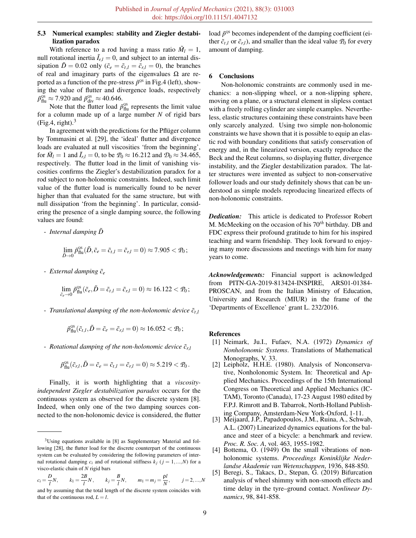# 5.3 Numerical examples: stability and Ziegler destabilization paradox

With reference to a rod having a mass ratio  $\tilde{M}_l = 1$ , null rotational inertia  $\tilde{I}_{r,l} = 0$ , and subject to an internal dissipation  $\tilde{D} = 0.02$  only ( $\tilde{c}_e = \tilde{c}_{t,l} = \tilde{c}_{r,l} = 0$ ), the branches of real and imaginary parts of the eigenvalues  $\Omega$  are reported as a function of the pre-stress  $\tilde{p}^{\text{os}}$  in Fig.4 (left), showing the value of flutter and divergence loads, respectively  $\tilde{p}_{\text{flu}}^{\text{qs}} \approx 7.920$  and  $\tilde{p}_{\text{div}}^{\text{qs}} \approx 40.646$ .

Note that the flutter load  $\tilde{p}_{\text{flu}}^{\text{qs}}$  represents the limit value for a column made up of a large number *N* of rigid bars  $(Fig.4, right).$ <sup>3</sup>

In agreement with the predictions for the Pflüger column by Tommasini et al. [29], the 'ideal' flutter and divergence loads are evaluated at null viscosities 'from the beginning', for  $\tilde{M}_l = 1$  and  $\tilde{I}_{r,l} = 0$ , to be  $\mathcal{P}_0 \approx 16.212$  and  $\mathcal{D}_0 \approx 34.465$ , respectively. The flutter load in the limit of vanishing viscosities confirms the Ziegler's destabilization paradox for a rod subject to non-holonomic constraints. Indeed, such limit value of the flutter load is numerically found to be never higher than that evaluated for the same structure, but with null dissipation 'from the beginning'. In particular, considering the presence of a single damping source, the following values are found:

- *Internal damping*  $\tilde{D}$ 

$$
\lim_{\tilde{D}\to 0}\tilde{p}_{\text{flu}}^{\text{os}}(\tilde{D},\tilde{c}_e=\tilde{c}_{t,l}=\tilde{c}_{r,l}=0)\approx 7.905 < \mathcal{P}_0;
$$

- *External damping*  $\tilde{c}_e$ 

$$
\lim_{\tilde{c}_e \to 0} \tilde{p}_{\text{flu}}^{\text{QS}}(\tilde{c}_e, \tilde{D} = \tilde{c}_{t,l} = \tilde{c}_{r,l} = 0) \approx 16.122 < \mathcal{P}_0;
$$

- *Translational damping of the non-holonomic device*  $\tilde{c}_{t,l}$ 

$$
\tilde{p}_{\text{flu}}^{\text{os}}(\tilde{c}_{t,l},\tilde{D}=\tilde{c}_e=\tilde{c}_{r,l}=0)\approx 16.052 < \mathcal{P}_0;
$$

- *Rotational damping of the non-holonomic device*  $\tilde{c}_{r,l}$ 

$$
\tilde{p}^{\text{QS}}_{\text{flu}}(\tilde{c}_{r,l}, \tilde{D} = \tilde{c}_e = \tilde{c}_{t,l} = \tilde{c}_{r,l} = 0) \approx 5.219 < \mathcal{P}_0.
$$

Finally, it is worth highlighting that a *viscosityindependent Ziegler destabilization paradox* occurs for the continuous system as observed for the discrete system [8]. Indeed, when only one of the two damping sources connected to the non-holonomic device is considered, the flutter

$$
c_i = \frac{D}{l}N
$$
,  $k_1 = \frac{2B}{l}N$ ,  $k_j = \frac{B}{l}N$ ,  $m_1 = m_j = \frac{\rho l}{N}$ ,  $j = 2,...,N$ 

load  $\tilde{p}^{\text{QS}}$  becomes independent of the damping coefficient (either  $\tilde{c}_{t,l}$  or  $\tilde{c}_{r,l}$ ), and smaller than the ideal value  $\mathcal{P}_0$  for every amount of damping.

## 6 Conclusions

Non-holonomic constraints are commonly used in mechanics: a non-slipping wheel, or a non-slipping sphere, moving on a plane, or a structural element in slipless contact with a freely rolling cylinder are simple examples. Nevertheless, elastic structures containing these constraints have been only scarcely analyzed. Using two simple non-holonomic constraints we have shown that it is possible to equip an elastic rod with boundary conditions that satisfy conservation of energy and, in the linearized version, exactly reproduce the Beck and the Reut columns, so displaying flutter, divergence instability, and the Ziegler destabilization paradox. The latter structures were invented as subject to non-conservative follower loads and our study definitely shows that can be understood as simple models reproducing linearized effects of non-holonomic constraints.

*Dedication:* This article is dedicated to Professor Robert M. McMeeking on the occasion of his 70*th* birthday. DB and FDC express their profound gratitude to him for his inspired teaching and warm friendship. They look forward to enjoying many more discussions and meetings with him for many years to come.

*Acknowledgements:* Financial support is acknowledged from PITN-GA-2019-813424-INSPIRE, ARS01-01384- PROSCAN, and from the Italian Ministry of Education, University and Research (MIUR) in the frame of the 'Departments of Excellence' grant L. 232/2016.

#### References

- [1] Neimark, Ju.I., Fufaev, N.A. (1972) *Dynamics of Nonholonomic Systems*. Translations of Mathematical Monographs, V. 33.
- [2] Leipholz, H.H.E. (1980). Analysis of Nonconservative, Nonholonomic System. In: Theoretical and Applied Mechanics. Proceedings of the 15th International Congress on Theoretical and Applied Mechanics (IC-TAM), Toronto (Canada), 17-23 August 1980 edited by F.P.J. Rimrott and B. Tabarrok, North-Holland Publishing Company, Amsterdam-New York-Oxford, 1-11.
- [3] Meijaard, J.P., Papadopoulos, J.M., Ruina, A., Schwab, A.L. (2007) Linearized dynamics equations for the balance and steer of a bicycle: a benchmark and review. *Proc. R. Soc. A*, vol. 463, 1955-1982.
- [4] Bottema, O. (1949) On the small vibrations of nonholonomic systems. *Proceedings Koninklijke Nederlandse Akademie van Wetenschappen*, 1936, 848-850.
- [5] Beregi, S., Takacs, D., Stepan, G. (2019) Bifurcation analysis of wheel shimmy with non-smooth effects and time delay in the tyre–ground contact. *Nonlinear Dynamics*, 98, 841-858.

 $3$ Using equations available in [8] as Supplementary Material and following [28], the flutter load for the discrete counterpart of the continuous system can be evaluated by considering the following parameters of internal rotational damping  $c_i$  and of rotational stiffness  $k_j$  ( $j = 1,...,N$ ) for a visco-elastic chain of *N* rigid bars

and by assuming that the total length of the discrete system coincides with that of the continuous rod,  $L = l$ .